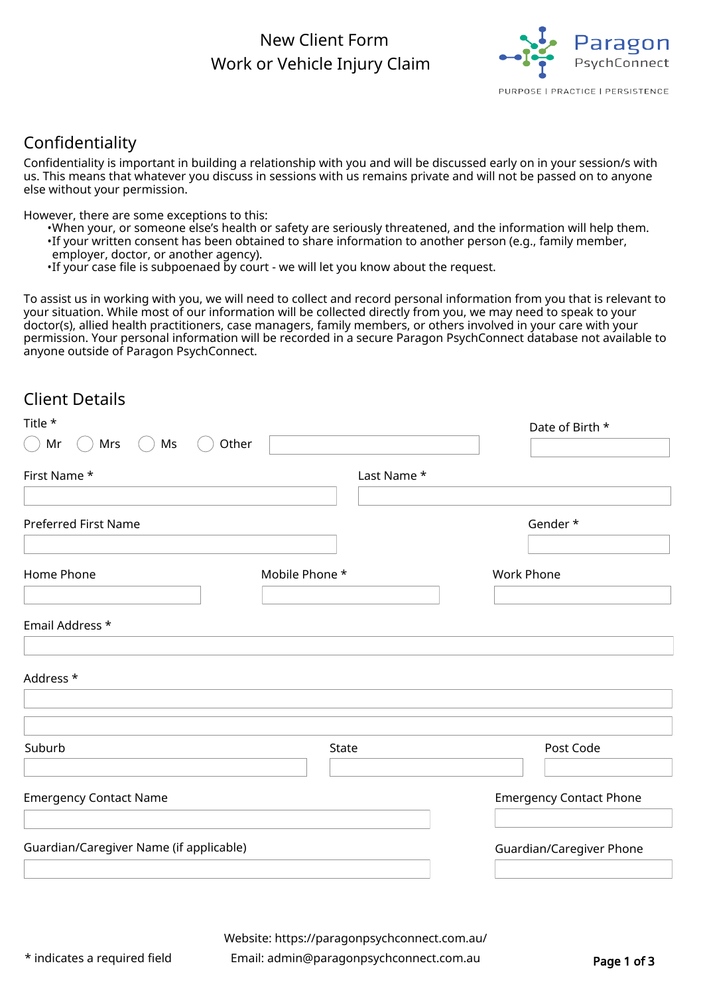## New Client Form Work or Vehicle Injury Claim



## Confidentiality

Confidentiality is important in building a relationship with you and will be discussed early on in your session/s with us. This means that whatever you discuss in sessions with us remains private and will not be passed on to anyone else without your permission.

However, there are some exceptions to this:

- •When your, or someone else's health or safety are seriously threatened, and the information will help them.
- If your written consent has been obtained to share information to another person (e.g., family member,
- employer, doctor, or another agency).
- •If your case file is subpoenaed by court we will let you know about the request.

To assist us in working with you, we will need to collect and record personal information from you that is relevant to your situation. While most of our information will be collected directly from you, we may need to speak to your doctor(s), allied health practitioners, case managers, family members, or others involved in your care with your permission. Your personal information will be recorded in a secure Paragon PsychConnect database not available to anyone outside of Paragon PsychConnect.

### Client Details

| Title *                                 |                | Date of Birth *                |
|-----------------------------------------|----------------|--------------------------------|
| Mr<br>Mrs<br>Ms                         | Other          |                                |
| First Name *                            | Last Name *    |                                |
|                                         |                |                                |
| Preferred First Name                    |                | Gender*                        |
|                                         |                |                                |
| Home Phone                              | Mobile Phone * | <b>Work Phone</b>              |
|                                         |                |                                |
| Email Address *                         |                |                                |
| Address *                               |                |                                |
|                                         |                |                                |
|                                         |                |                                |
| Suburb                                  | State          | Post Code                      |
| <b>Emergency Contact Name</b>           |                | <b>Emergency Contact Phone</b> |
|                                         |                |                                |
| Guardian/Caregiver Name (if applicable) |                | Guardian/Caregiver Phone       |
|                                         |                |                                |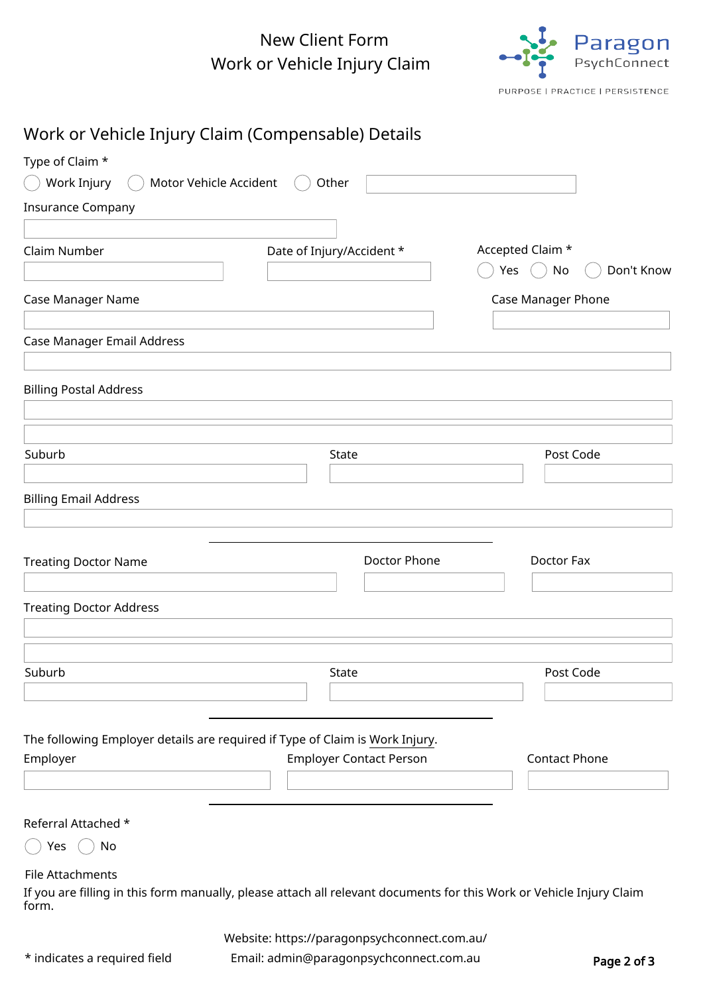# New Client Form Work or Vehicle Injury Claim



Page 2 of 3

|                                | Work or Vehicle Injury Claim (Compensable) Details                                                                   |                           |
|--------------------------------|----------------------------------------------------------------------------------------------------------------------|---------------------------|
| Type of Claim *                |                                                                                                                      |                           |
| Work Injury                    | Motor Vehicle Accident<br>Other                                                                                      |                           |
| <b>Insurance Company</b>       |                                                                                                                      |                           |
|                                |                                                                                                                      |                           |
| Claim Number                   | Date of Injury/Accident *                                                                                            | Accepted Claim *          |
|                                |                                                                                                                      | Don't Know<br>Yes<br>No   |
| Case Manager Name              |                                                                                                                      | <b>Case Manager Phone</b> |
|                                |                                                                                                                      |                           |
| Case Manager Email Address     |                                                                                                                      |                           |
|                                |                                                                                                                      |                           |
| <b>Billing Postal Address</b>  |                                                                                                                      |                           |
|                                |                                                                                                                      |                           |
|                                |                                                                                                                      |                           |
| Suburb                         | State                                                                                                                | Post Code                 |
| <b>Billing Email Address</b>   |                                                                                                                      |                           |
|                                |                                                                                                                      |                           |
|                                |                                                                                                                      |                           |
| <b>Treating Doctor Name</b>    | Doctor Phone                                                                                                         | Doctor Fax                |
|                                |                                                                                                                      |                           |
| <b>Treating Doctor Address</b> |                                                                                                                      |                           |
|                                |                                                                                                                      |                           |
|                                |                                                                                                                      |                           |
| Suburb                         | State                                                                                                                | Post Code                 |
|                                |                                                                                                                      |                           |
|                                |                                                                                                                      |                           |
| Employer                       | The following Employer details are required if Type of Claim is Work Injury.<br><b>Employer Contact Person</b>       | Contact Phone             |
|                                |                                                                                                                      |                           |
|                                |                                                                                                                      |                           |
| Referral Attached *            |                                                                                                                      |                           |
| No<br>Yes                      |                                                                                                                      |                           |
| File Attachments               |                                                                                                                      |                           |
| form.                          | If you are filling in this form manually, please attach all relevant documents for this Work or Vehicle Injury Claim |                           |
|                                | Website: https://paragonpsychconnect.com.au/                                                                         |                           |
| * indicates a required field   | Email: admin@paragonpsychconnect.com.au                                                                              | Page 2 of 3               |